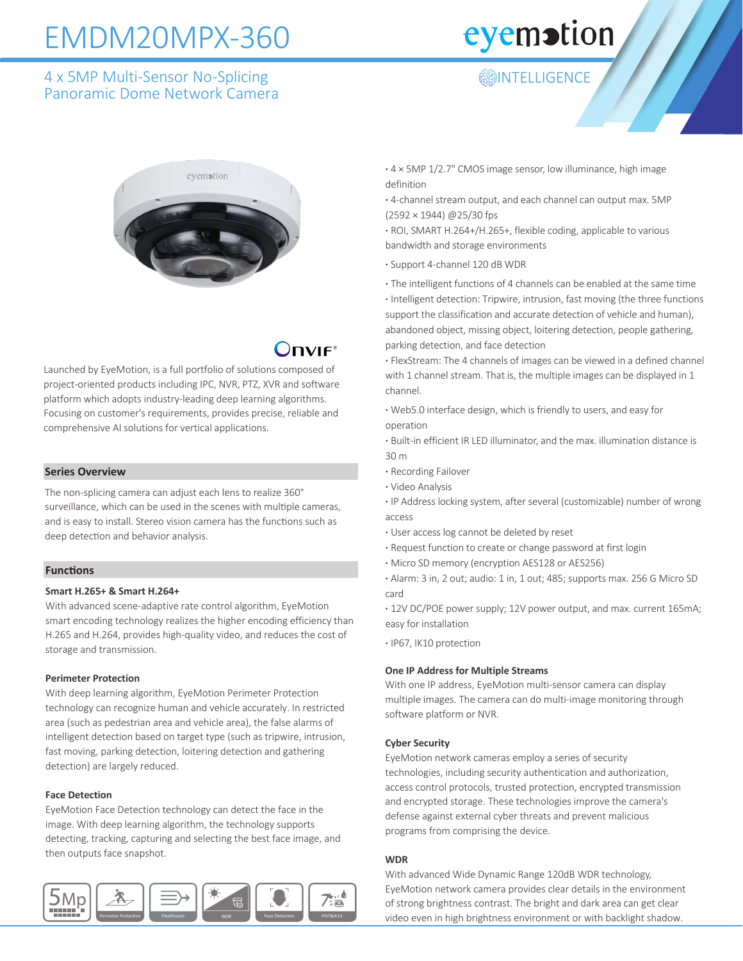## EMDM20MPX-360

### 4 x 5MP Multi-Sensor No-Splicing Panoramic Dome Network Camera

## eyemotion

### **ANTELLIGENCE**



## $\lambda$ DVIF

Launched by EyeMotion, is a full portfolio of solutions composed of project-oriented products including IPC, NVR, PTZ, XVR and software platform which adopts industry-leading deep learning algorithms. Focusing on customer's requirements, provides precise, reliable and comprehensive AI solutions for vertical applications.

#### **Series Overview**

The non-splicing camera can adjust each lens to realize 360° surveillance, which can be used in the scenes with multiple cameras, and is easy to install. Stereo vision camera has the functions such as deep detection and behavior analysis.

#### **Functions**

#### **Smart H.265+ & Smart H.264+**

With advanced scene-adaptive rate control algorithm, EyeMotion smart encoding technology realizes the higher encoding efficiency than H.265 and H.264, provides high-quality video, and reduces the cost of storage and transmission.

#### **Perimeter Protection**

With deep learning algorithm, EyeMotion Perimeter Protection technology can recognize human and vehicle accurately. In restricted area (such as pedestrian area and vehicle area), the false alarms of intelligent detection based on target type (such as tripwire, intrusion, fast moving, parking detection, loitering detection and gathering detection) are largely reduced.

#### **Face Detection**

EyeMotion Face Detection technology can detect the face in the image. With deep learning algorithm, the technology supports detecting, tracking, capturing and selecting the best face image, and then outputs face snapshot.



**·** 4 × 5MP 1/2.7" CMOS image sensor, low illuminance, high image definition

**·** 4-channel stream output, and each channel can output max. 5MP (2592 × 1944) @25/30 fps

**·** ROI, SMART H.264+/H.265+, flexible coding, applicable to various bandwidth and storage environments

**·** Support 4-channel 120 dB WDR

**·** The intelligent functions of 4 channels can be enabled at the same time **·** Intelligent detection: Tripwire, intrusion, fast moving (the three functions support the classification and accurate detection of vehicle and human), abandoned object, missing object, loitering detection, people gathering, parking detection, and face detection

**·** FlexStream: The 4 channels of images can be viewed in a defined channel with 1 channel stream. That is, the multiple images can be displayed in 1 channel.

**·** Web5.0 interface design, which is friendly to users, and easy for operation

**·** Built-in efficient IR LED illuminator, and the max. illumination distance is 30 m

- **·** Recording Failover
- **·** Video Analysis

**·** IP Address locking system, after several (customizable) number of wrong access

- **·** User access log cannot be deleted by reset
- **·** Request function to create or change password at first login
- **·** Micro SD memory (encryption AES128 or AES256)

**·** Alarm: 3 in, 2 out; audio: 1 in, 1 out; 485; supports max. 256 G Micro SD card

**·** 12V DC/POE power supply; 12V power output, and max. current 165mA; easy for installation

**·** IP67, IK10 protection

#### **One IP Address for Multiple Streams**

With one IP address, EyeMotion multi-sensor camera can display multiple images. The camera can do multi-image monitoring through software platform or NVR.

#### **Cyber Security**

EyeMotion network cameras employ a series of security technologies, including security authentication and authorization, access control protocols, trusted protection, encrypted transmission and encrypted storage. These technologies improve the camera's defense against external cyber threats and prevent malicious programs from comprising the device.

#### **WDR**

With advanced Wide Dynamic Range 120dB WDR technology, EyeMotion network camera provides clear details in the environment of strong brightness contrast. The bright and dark area can get clear video even in high brightness environment or with backlight shadow.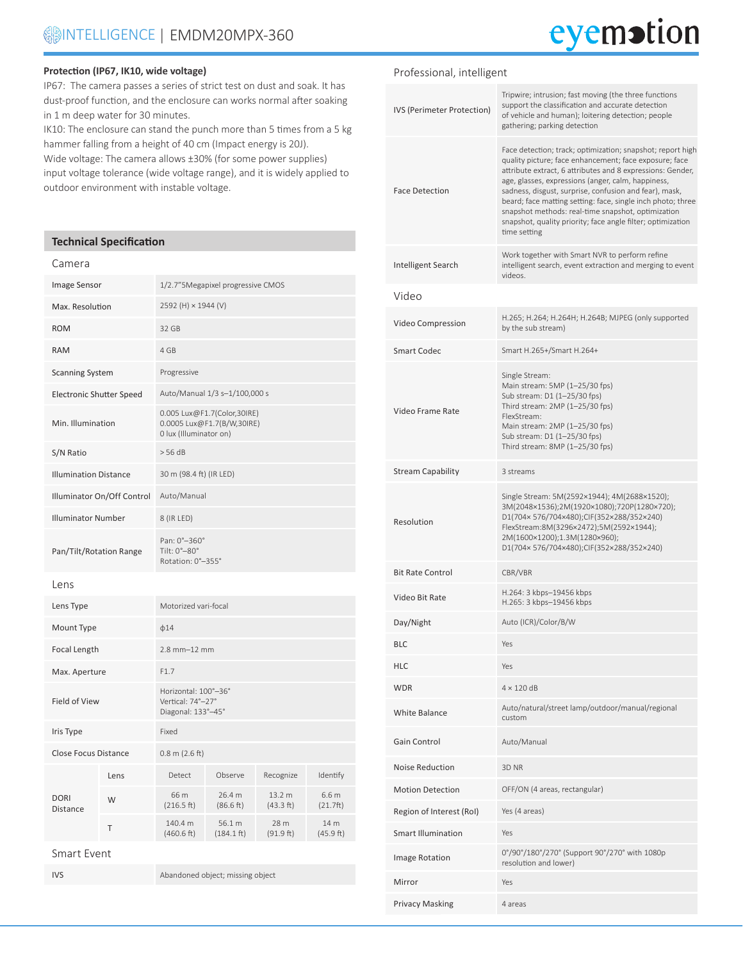## eyemotion

#### **Protection (IP67, IK10, wide voltage)**

IP67: The camera passes a series of strict test on dust and soak. It has dust-proof function, and the enclosure can works normal after soaking in 1 m deep water for 30 minutes.

IK10: The enclosure can stand the punch more than 5 times from a 5 kg hammer falling from a height of 40 cm (Impact energy is 20J). Wide voltage: The camera allows ±30% (for some power supplies) input voltage tolerance (wide voltage range), and it is widely applied to outdoor environment with instable voltage.

#### **Technical Specification**

#### Camera

| Image Sensor                    |      | 1/2.7"5Megapixel progressive CMOS                                                   |                                |                     |                   |
|---------------------------------|------|-------------------------------------------------------------------------------------|--------------------------------|---------------------|-------------------|
| Max. Resolution                 |      | 2592 (H) × 1944 (V)                                                                 |                                |                     |                   |
| <b>ROM</b>                      |      | 32 GB                                                                               |                                |                     |                   |
| <b>RAM</b>                      |      | 4 GB                                                                                |                                |                     |                   |
| <b>Scanning System</b>          |      | Progressive                                                                         |                                |                     |                   |
| <b>Electronic Shutter Speed</b> |      | Auto/Manual 1/3 s-1/100,000 s                                                       |                                |                     |                   |
| Min. Illumination               |      | 0.005 Lux@F1.7(Color,30IRE)<br>0.0005 Lux@F1.7(B/W,30IRE)<br>0 lux (Illuminator on) |                                |                     |                   |
| S/N Ratio                       |      | > 56 dB                                                                             |                                |                     |                   |
| <b>Illumination Distance</b>    |      | 30 m (98.4 ft) (IR LED)                                                             |                                |                     |                   |
| Illuminator On/Off Control      |      | Auto/Manual                                                                         |                                |                     |                   |
| <b>Illuminator Number</b>       |      | 8 (IR LED)                                                                          |                                |                     |                   |
| Pan/Tilt/Rotation Range         |      | Pan: 0°-360°<br>Tilt: $0^\circ - 80^\circ$<br>Rotation: 0°-355°                     |                                |                     |                   |
| Lens                            |      |                                                                                     |                                |                     |                   |
| Lens Type                       |      | Motorized vari-focal                                                                |                                |                     |                   |
| Mount Type                      |      | $\phi$ 14                                                                           |                                |                     |                   |
| Focal Length                    |      | $2.8$ mm $-12$ mm                                                                   |                                |                     |                   |
| Max. Aperture                   |      | F1.7                                                                                |                                |                     |                   |
| Field of View                   |      | Horizontal: 100°-36°<br>Vertical: 74°-27°<br>Diagonal: 133°-45°                     |                                |                     |                   |
| Iris Type                       |      | Fixed                                                                               |                                |                     |                   |
| <b>Close Focus Distance</b>     |      | $0.8$ m $(2.6$ ft)                                                                  |                                |                     |                   |
| <b>DORI</b><br>Distance         | Lens | Detect                                                                              | Observe                        | Recognize           | Identify          |
|                                 | W    | 66 m<br>(216.5 ft)                                                                  | 26.4 m<br>(86.6 ft)            | 13.2 m<br>(43.3 ft) | 6.6 m<br>(21.7ft) |
|                                 | Τ    | 140.4 m<br>(460.6 ft)                                                               | 56.1 m<br>$(184.1 \text{ ft})$ | 28 m<br>(91.9 ft)   | 14 m<br>(45.9 ft) |
| <b>Smart Event</b>              |      |                                                                                     |                                |                     |                   |

IVS Abandoned object; missing object

| Professional, intelligent  |                                                                                                                                                                                                                                                                                                                                                                                                                                                                                                        |
|----------------------------|--------------------------------------------------------------------------------------------------------------------------------------------------------------------------------------------------------------------------------------------------------------------------------------------------------------------------------------------------------------------------------------------------------------------------------------------------------------------------------------------------------|
| IVS (Perimeter Protection) | Tripwire; intrusion; fast moving (the three functions<br>support the classification and accurate detection<br>of vehicle and human); loitering detection; people<br>gathering; parking detection                                                                                                                                                                                                                                                                                                       |
| <b>Face Detection</b>      | Face detection; track; optimization; snapshot; report high<br>quality picture; face enhancement; face exposure; face<br>attribute extract, 6 attributes and 8 expressions: Gender,<br>age, glasses, expressions (anger, calm, happiness,<br>sadness, disgust, surprise, confusion and fear), mask,<br>beard; face matting setting: face, single inch photo; three<br>snapshot methods: real-time snapshot, optimization<br>snapshot, quality priority; face angle filter; optimization<br>time setting |
| Intelligent Search         | Work together with Smart NVR to perform refine<br>intelligent search, event extraction and merging to event<br>videos.                                                                                                                                                                                                                                                                                                                                                                                 |
| Video                      |                                                                                                                                                                                                                                                                                                                                                                                                                                                                                                        |
| Video Compression          | H.265; H.264; H.264H; H.264B; MJPEG (only supported<br>by the sub stream)                                                                                                                                                                                                                                                                                                                                                                                                                              |
| Smart Codec                | Smart H.265+/Smart H.264+                                                                                                                                                                                                                                                                                                                                                                                                                                                                              |
| Video Frame Rate           | Single Stream:<br>Main stream: 5MP (1-25/30 fps)<br>Sub stream: D1 (1-25/30 fps)<br>Third stream: 2MP (1-25/30 fps)<br>FlexStream:<br>Main stream: 2MP (1-25/30 fps)<br>Sub stream: D1 (1-25/30 fps)<br>Third stream: 8MP (1-25/30 fps)                                                                                                                                                                                                                                                                |
| <b>Stream Capability</b>   | 3 streams                                                                                                                                                                                                                                                                                                                                                                                                                                                                                              |
| Resolution                 | Single Stream: 5M(2592×1944); 4M(2688×1520);<br>3M(2048×1536);2M(1920×1080);720P(1280×720);<br>D1(704x 576/704x480);CIF(352x288/352x240)<br>FlexStream:8M(3296×2472);5M(2592×1944);<br>2M(1600×1200);1.3M(1280×960);<br>D1(704×576/704×480);CIF(352×288/352×240)                                                                                                                                                                                                                                       |
| <b>Bit Rate Control</b>    | CBR/VBR                                                                                                                                                                                                                                                                                                                                                                                                                                                                                                |
| Video Bit Rate             | H.264: 3 kbps-19456 kbps<br>H.265: 3 kbps-19456 kbps                                                                                                                                                                                                                                                                                                                                                                                                                                                   |
| Day/Night                  | Auto (ICR)/Color/B/W                                                                                                                                                                                                                                                                                                                                                                                                                                                                                   |
| BLC                        | Yes                                                                                                                                                                                                                                                                                                                                                                                                                                                                                                    |
| HLC                        | Yes                                                                                                                                                                                                                                                                                                                                                                                                                                                                                                    |
| <b>WDR</b>                 | $4 \times 120$ dB                                                                                                                                                                                                                                                                                                                                                                                                                                                                                      |
| <b>White Balance</b>       | Auto/natural/street lamp/outdoor/manual/regional<br>custom                                                                                                                                                                                                                                                                                                                                                                                                                                             |
| Gain Control               | Auto/Manual                                                                                                                                                                                                                                                                                                                                                                                                                                                                                            |
| Noise Reduction            | 3D NR                                                                                                                                                                                                                                                                                                                                                                                                                                                                                                  |
| <b>Motion Detection</b>    | OFF/ON (4 areas, rectangular)                                                                                                                                                                                                                                                                                                                                                                                                                                                                          |
| Region of Interest (RoI)   | Yes (4 areas)                                                                                                                                                                                                                                                                                                                                                                                                                                                                                          |
| <b>Smart Illumination</b>  | Yes                                                                                                                                                                                                                                                                                                                                                                                                                                                                                                    |
| Image Rotation             | 0°/90°/180°/270° (Support 90°/270° with 1080p<br>resolution and lower)                                                                                                                                                                                                                                                                                                                                                                                                                                 |
| Mirror                     | Yes                                                                                                                                                                                                                                                                                                                                                                                                                                                                                                    |
| <b>Privacy Masking</b>     | 4 areas                                                                                                                                                                                                                                                                                                                                                                                                                                                                                                |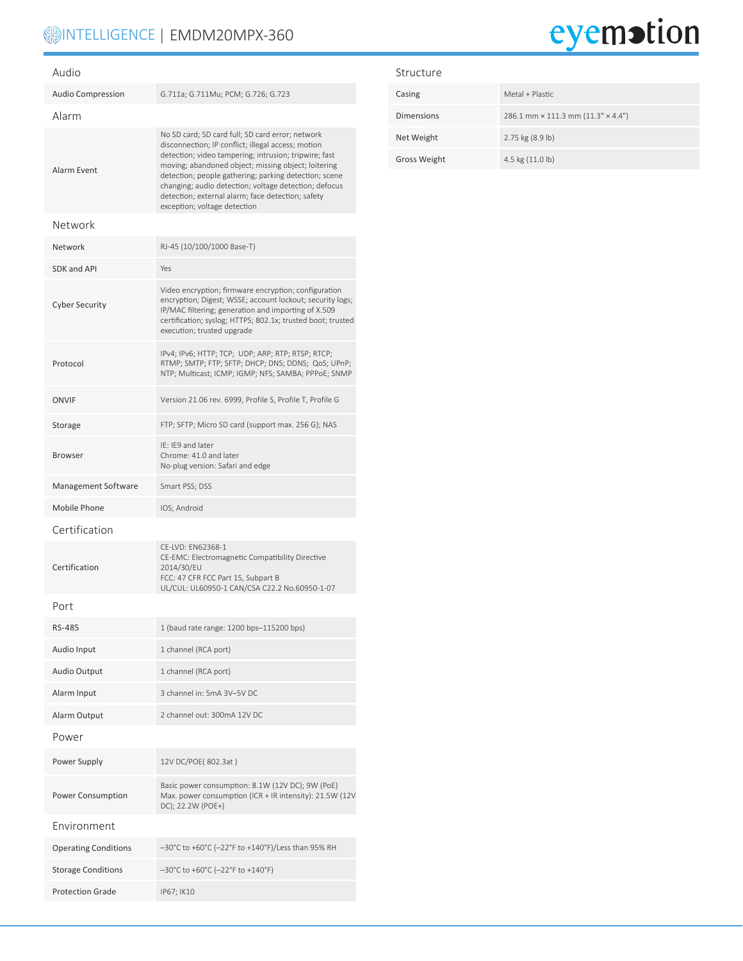## **INTELLIGENCE | EMDM20MPX-360**

# eyemotion

| Audio                       |                                                                                                                                                                                                                                                                                                                                                                                                                               |  |  |
|-----------------------------|-------------------------------------------------------------------------------------------------------------------------------------------------------------------------------------------------------------------------------------------------------------------------------------------------------------------------------------------------------------------------------------------------------------------------------|--|--|
| <b>Audio Compression</b>    | G.711a; G.711Mu; PCM; G.726; G.723                                                                                                                                                                                                                                                                                                                                                                                            |  |  |
| Alarm                       |                                                                                                                                                                                                                                                                                                                                                                                                                               |  |  |
| Alarm Event                 | No SD card; SD card full; SD card error; network<br>disconnection; IP conflict; illegal access; motion<br>detection; video tampering; intrusion; tripwire; fast<br>moving; abandoned object; missing object; loitering<br>detection; people gathering; parking detection; scene<br>changing; audio detection; voltage detection; defocus<br>detection; external alarm; face detection; safety<br>exception; voltage detection |  |  |
| Network                     |                                                                                                                                                                                                                                                                                                                                                                                                                               |  |  |
| Network                     | RJ-45 (10/100/1000 Base-T)                                                                                                                                                                                                                                                                                                                                                                                                    |  |  |
| <b>SDK and API</b>          | Yes                                                                                                                                                                                                                                                                                                                                                                                                                           |  |  |
| <b>Cyber Security</b>       | Video encryption; firmware encryption; configuration<br>encryption; Digest; WSSE; account lockout; security logs;<br>IP/MAC filtering; generation and importing of X.509<br>certification; syslog; HTTPS; 802.1x; trusted boot; trusted<br>execution; trusted upgrade                                                                                                                                                         |  |  |
| Protocol                    | IPv4; IPv6; HTTP; TCP; UDP; ARP; RTP; RTSP; RTCP;<br>RTMP; SMTP; FTP; SFTP; DHCP; DNS; DDNS; QoS; UPnP;<br>NTP; Multicast; ICMP; IGMP; NFS; SAMBA; PPPoE; SNMP                                                                                                                                                                                                                                                                |  |  |
| <b>ONVIF</b>                | Version 21.06 rev. 6999, Profile S, Profile T, Profile G                                                                                                                                                                                                                                                                                                                                                                      |  |  |
| Storage                     | FTP; SFTP; Micro SD card (support max. 256 G); NAS                                                                                                                                                                                                                                                                                                                                                                            |  |  |
| <b>Browser</b>              | IE: IE9 and later<br>Chrome: 41.0 and later<br>No-plug version: Safari and edge                                                                                                                                                                                                                                                                                                                                               |  |  |
| Management Software         | Smart PSS; DSS                                                                                                                                                                                                                                                                                                                                                                                                                |  |  |
| Mobile Phone                | IOS; Android                                                                                                                                                                                                                                                                                                                                                                                                                  |  |  |
| Certification               |                                                                                                                                                                                                                                                                                                                                                                                                                               |  |  |
| Certification               | CE-LVD: EN62368-1<br>CE-EMC: Electromagnetic Compatibility Directive<br>2014/30/EU<br>FCC: 47 CFR FCC Part 15, Subpart B<br>UL/CUL: UL60950-1 CAN/CSA C22.2 No.60950-1-07                                                                                                                                                                                                                                                     |  |  |
| Port                        |                                                                                                                                                                                                                                                                                                                                                                                                                               |  |  |
| <b>RS-485</b>               | 1 (baud rate range: 1200 bps-115200 bps)                                                                                                                                                                                                                                                                                                                                                                                      |  |  |
| Audio Input                 | 1 channel (RCA port)                                                                                                                                                                                                                                                                                                                                                                                                          |  |  |
| Audio Output                | 1 channel (RCA port)                                                                                                                                                                                                                                                                                                                                                                                                          |  |  |
| Alarm Input                 | 3 channel in: 5mA 3V-5V DC                                                                                                                                                                                                                                                                                                                                                                                                    |  |  |
| Alarm Output                | 2 channel out: 300mA 12V DC                                                                                                                                                                                                                                                                                                                                                                                                   |  |  |
| Power                       |                                                                                                                                                                                                                                                                                                                                                                                                                               |  |  |
| Power Supply                | 12V DC/POE(802.3at)                                                                                                                                                                                                                                                                                                                                                                                                           |  |  |
| Power Consumption           | Basic power consumption: 8.1W (12V DC); 9W (PoE)<br>Max. power consumption (ICR + IR intensity): 21.5W (12V<br>DC); 22.2W (POE+)                                                                                                                                                                                                                                                                                              |  |  |
| Environment                 |                                                                                                                                                                                                                                                                                                                                                                                                                               |  |  |
| <b>Operating Conditions</b> | -30°C to +60°C (-22°F to +140°F)/Less than 95% RH                                                                                                                                                                                                                                                                                                                                                                             |  |  |
| <b>Storage Conditions</b>   | -30°C to +60°C (-22°F to +140°F)                                                                                                                                                                                                                                                                                                                                                                                              |  |  |
| <b>Protection Grade</b>     | IP67; IK10                                                                                                                                                                                                                                                                                                                                                                                                                    |  |  |

#### Structure

| Casing            | Metal + Plastic                                  |
|-------------------|--------------------------------------------------|
| <b>Dimensions</b> | 286.1 mm $\times$ 111.3 mm (11.3" $\times$ 4.4") |
| Net Weight        | 2.75 kg (8.9 lb)                                 |
| Gross Weight      | 4.5 kg (11.0 lb)                                 |